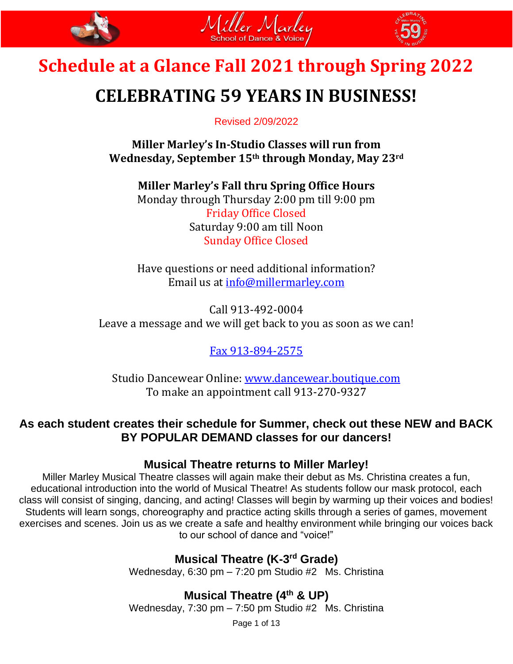





# **CELEBRATING 59 YEARS IN BUSINESS!**

Revised 2/09/2022

**Miller Marley's In-Studio Classes will run from Wednesday, September 15th through Monday, May 23rd**

**Miller Marley's Fall thru Spring Office Hours** Monday through Thursday 2:00 pm till 9:00 pm Friday Office Closed Saturday 9:00 am till Noon Sunday Office Closed

Have questions or need additional information? Email us at [info@millermarley.com](mailto:info@millermarley.com)

Call 913-492-0004 Leave a message and we will get back to you as soon as we can!

Fax 913-894-2575

Studio Dancewear Online: [www.dancewear.boutique.com](http://www.dancewear.boutique.com/) To make an appointment call 913-270-9327

### **As each student creates their schedule for Summer, check out these NEW and BACK BY POPULAR DEMAND classes for our dancers!**

### **Musical Theatre returns to Miller Marley!**

Miller Marley Musical Theatre classes will again make their debut as Ms. Christina creates a fun, educational introduction into the world of Musical Theatre! As students follow our mask protocol, each class will consist of singing, dancing, and acting! Classes will begin by warming up their voices and bodies! Students will learn songs, choreography and practice acting skills through a series of games, movement exercises and scenes. Join us as we create a safe and healthy environment while bringing our voices back to our school of dance and "voice!"

## **Musical Theatre (K-3<sup>rd</sup> Grade)**

Wednesday, 6:30 pm – 7:20 pm Studio #2 Ms. Christina

**Musical Theatre (4th & UP)** Wednesday, 7:30 pm – 7:50 pm Studio #2 Ms. Christina

Page 1 of 13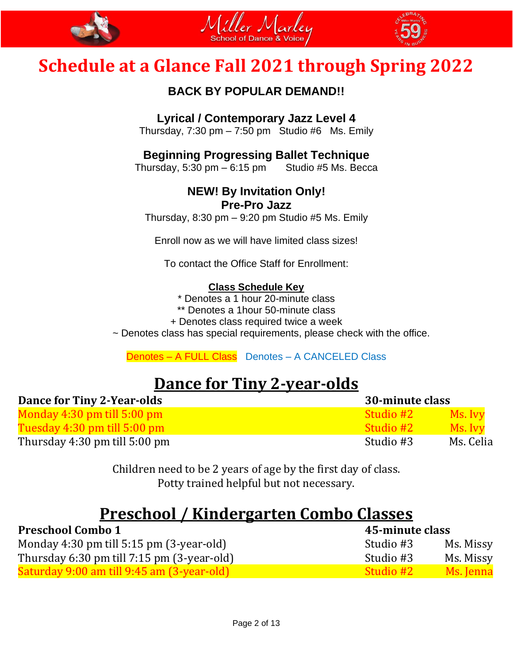





### **BACK BY POPULAR DEMAND!!**

### **Lyrical / Contemporary Jazz Level 4**

Thursday,  $7:30 \text{ pm} - 7:50 \text{ pm}$  Studio #6 Ms. Emily

### **Beginning Progressing Ballet Technique**

Thursday, 5:30 pm  $-6:15$  pm Studio #5 Ms. Becca

## **NEW! By Invitation Only!**

### **Pre-Pro Jazz**

Thursday,  $8:30 \text{ pm} - 9:20 \text{ pm}$  Studio #5 Ms. Emily

Enroll now as we will have limited class sizes!

To contact the Office Staff for Enrollment:

### **Class Schedule Key**

\* Denotes a 1 hour 20-minute class

\*\* Denotes a 1hour 50-minute class

+ Denotes class required twice a week

~ Denotes class has special requirements, please check with the office.

### Denotes – A FULL Class Denotes – A CANCELED Class

## **Dance for Tiny 2-year-olds**

| <b>Dance for Tiny 2-Year-olds</b> | 30-minute class |           |
|-----------------------------------|-----------------|-----------|
| Monday $4:30$ pm till $5:00$ pm   | - Studio #2     | Ms. Ivy   |
| Tuesday $4:30$ pm till $5:00$ pm  | - Studio #2     | Ms. Ivv   |
| Thursday $4:30$ pm till $5:00$ pm | Studio #3       | Ms. Celia |

Children need to be 2 years of age by the first day of class. Potty trained helpful but not necessary.

## **Preschool / Kindergarten Combo Classes**

| <b>Preschool Combo 1</b>                        | 45-minute class |           |
|-------------------------------------------------|-----------------|-----------|
| Monday 4:30 pm till $5:15$ pm $(3$ -year-old)   | Studio #3       | Ms. Missy |
| Thursday 6:30 pm till $7:15$ pm $(3$ -year-old) | Studio #3       | Ms. Missy |
| Saturday 9:00 am till 9:45 am (3-year-old)      | - Studio #2     | Ms. Jenna |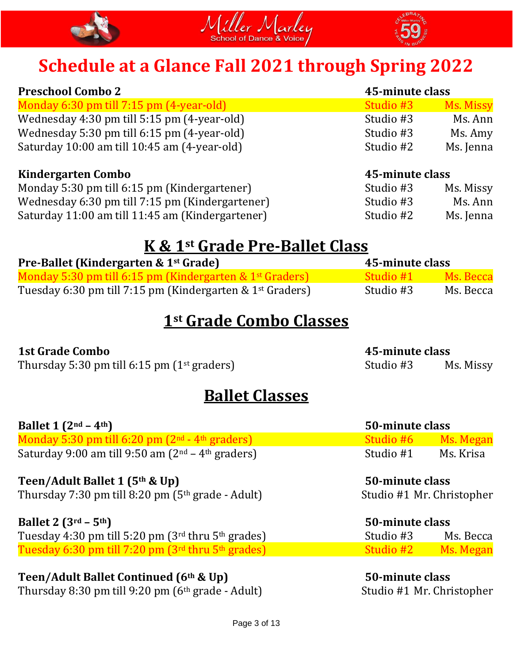





| <b>Preschool Combo 2</b>                                  |                 | 45-minute class  |  |
|-----------------------------------------------------------|-----------------|------------------|--|
| Monday 6:30 pm till 7:15 pm (4-year-old)                  | Studio #3       | <b>Ms. Missy</b> |  |
| Wednesday 4:30 pm till 5:15 pm (4-year-old)               | Studio #3       | Ms. Ann          |  |
| Wednesday 5:30 pm till 6:15 pm (4-year-old)               | Studio #3       | Ms. Amy          |  |
| Saturday 10:00 am till 10:45 am (4-year-old)<br>Studio #2 |                 | Ms. Jenna        |  |
| Kindergarten Combo                                        | 45-minute class |                  |  |

| <b>RETAILLE CALLED</b>                           | TO MARRIALE CRISS |           |
|--------------------------------------------------|-------------------|-----------|
| Monday 5:30 pm till 6:15 pm (Kindergartener)     | Studio #3         | Ms. Missy |
| Wednesday 6:30 pm till 7:15 pm (Kindergartener)  | Studio #3         | Ms. Ann   |
| Saturday 11:00 am till 11:45 am (Kindergartener) | Studio #2         | Ms. Jenna |

## **K & 1st Grade Pre-Ballet Class**

| Pre-Ballet (Kindergarten & 1 <sup>st</sup> Grade)                     | 45-minute class |           |
|-----------------------------------------------------------------------|-----------------|-----------|
| Monday 5:30 pm till 6:15 pm (Kindergarten & 1 <sup>st</sup> Graders)  | - Studio #1     | Ms. Becca |
| Tuesday 6:30 pm till 7:15 pm (Kindergarten & 1 <sup>st</sup> Graders) | Studio #3       | Ms. Becca |

## **1st Grade Combo Classes**

### **1st Grade Combo 45-minute class** Thursday 5:30 pm till 6:15 pm  $(1<sup>st</sup>$  graders) Studio #3 Ms. Missy

## **Ballet Classes**

| <b>Ballet 1 (2nd – 4th)</b>                                                                                                | 50-minute class                                     |           |
|----------------------------------------------------------------------------------------------------------------------------|-----------------------------------------------------|-----------|
| Monday 5:30 pm till $6:20$ pm $(2nd - 4th$ graders)                                                                        | Studio #6 Ms. Megan                                 |           |
| Saturday 9:00 am till 9:50 am $(2nd – 4th$ graders)<br>Studio #1                                                           |                                                     | Ms. Krisa |
| Teen/Adult Ballet 1 (5 <sup>th</sup> & Up)<br>Thursday $7.20 \text{ nm}$ till $0.20 \text{ nm}$ (Eth grade $\Lambda$ dult) | 50-minute class<br>$Chudio$ $#1$ $Mr$ $Chriotonhor$ |           |

Thursday 7:30 pm till 8:20 pm (5th grade - Adult) Studio #1 Mr. Christopher

**Ballet 2 (3rd – 5th) 50-minute class** Tuesday 4:30 pm till 5:20 pm (3rd thru 5<sup>th</sup> grades) Studio #3 Ms. Becca Tuesday 6:30 pm till 7:20 pm  $(3^{rd}$  thru  $5^{th}$  grades) Studio #2 Ms. Megan

**Teen/Adult Ballet Continued (6th & Up) 50-minute class**  Thursday 8:30 pm till 9:20 pm (6<sup>th</sup> grade - Adult) Studio #1 Mr. Christopher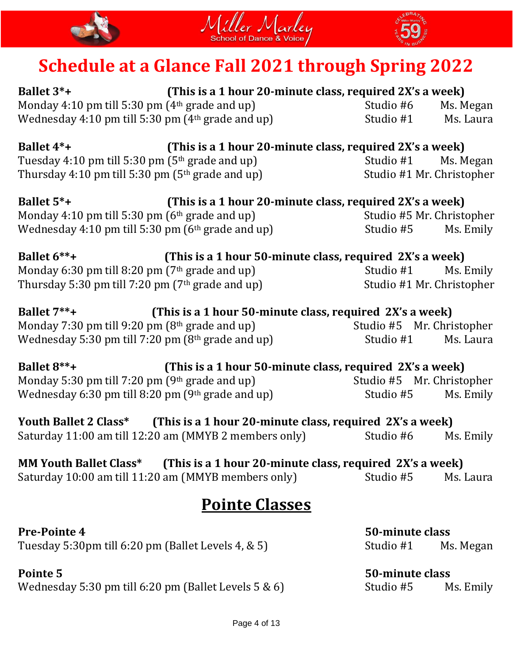





**Ballet 3\*+ (This is a 1 hour 20-minute class, required 2X's a week)** Monday 4:10 pm till 5:30 pm (4<sup>th</sup> grade and up) Studio #6 Ms. Megan Wednesday 4:10 pm till 5:30 pm (4<sup>th</sup> grade and up) Studio #1 Ms. Laura

| <b>Ballet 4*+</b>                                   | (This is a 1 hour 20-minute class, required 2X's a week) |                           |           |
|-----------------------------------------------------|----------------------------------------------------------|---------------------------|-----------|
| Tuesday 4:10 pm till 5:30 pm ( $5th$ grade and up)  |                                                          | Studio #1                 | Ms. Megan |
| Thursday 4:10 pm till 5:30 pm ( $5th$ grade and up) |                                                          | Studio #1 Mr. Christopher |           |

| <b>Ballet 5*+</b>                                   | (This is a 1 hour 20-minute class, required 2X's a week) |                           |           |
|-----------------------------------------------------|----------------------------------------------------------|---------------------------|-----------|
| Monday 4:10 pm till 5:30 pm $(6th$ grade and up)    |                                                          | Studio #5 Mr. Christopher |           |
| Wednesday 4:10 pm till 5:30 pm $(6th$ grade and up) |                                                          | Studio #5                 | Ms. Emily |

| Ballet $6***+$                                      | (This is a 1 hour 50-minute class, required 2X's a week) |                           |           |
|-----------------------------------------------------|----------------------------------------------------------|---------------------------|-----------|
| Monday 6:30 pm till 8:20 pm $(7th$ grade and up)    |                                                          | Studio #1                 | Ms. Emily |
| Thursday 5:30 pm till 7:20 pm ( $7th$ grade and up) |                                                          | Studio #1 Mr. Christopher |           |

| Ballet 7**+ | (This is a 1 hour 50-minute class, required 2X's a week) |           |                           |
|-------------|----------------------------------------------------------|-----------|---------------------------|
|             | Monday 7:30 pm till 9:20 pm $(8th$ grade and up)         |           | Studio #5 Mr. Christopher |
|             | Wednesday 5:30 pm till 7:20 pm $(8th$ grade and up)      | Studio #1 | Ms. Laura                 |

| <b>Ballet 8**+</b>                                  | (This is a 1 hour 50-minute class, required 2X's a week) |           |                           |
|-----------------------------------------------------|----------------------------------------------------------|-----------|---------------------------|
| Monday 5:30 pm till 7:20 pm $(9th$ grade and up)    |                                                          |           | Studio #5 Mr. Christopher |
| Wednesday 6:30 pm till 8:20 pm $(9th$ grade and up) |                                                          | Studio #5 | Ms. Emily                 |

| Youth Ballet 2 Class* | (This is a 1 hour 20-minute class, required 2X's a week) |           |           |
|-----------------------|----------------------------------------------------------|-----------|-----------|
|                       | Saturday 11:00 am till 12:20 am (MMYB 2 members only)    | Studio #6 | Ms. Emily |

| <b>MM Youth Ballet Class*</b>                       | (This is a 1 hour 20-minute class, required 2X's a week) |           |           |
|-----------------------------------------------------|----------------------------------------------------------|-----------|-----------|
| Saturday 10:00 am till 11:20 am (MMYB members only) |                                                          | Studio #5 | Ms. Laura |

## **Pointe Classes**

### Pre-Pointe 4 50-minute class Tuesday 5:30pm till 6:20 pm (Ballet Levels 4, & 5) Studio #1 Ms. Megan

Wednesday 5:30 pm till 6:20 pm (Ballet Levels 5 & 6) Studio #5 Ms. Emily

# **Pointe 5 50-minute class**

Page 4 of 13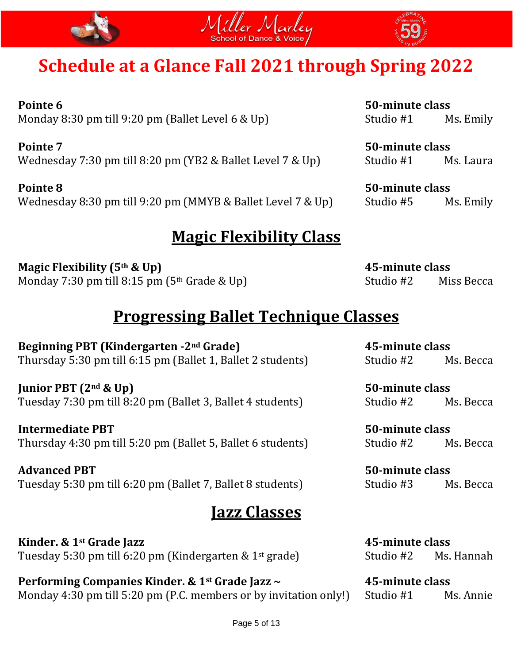





**Pointe 6 50-minute class** Monday 8:30 pm till 9:20 pm (Ballet Level 6 & Up) Studio #1 Ms. Emily

**Pointe 7 50-minute class** Wednesday 7:30 pm till 8:20 pm (YB2 & Ballet Level 7 & Up) Studio #1 Ms. Laura

**Pointe 8 50-minute class** Wednesday 8:30 pm till 9:20 pm (MMYB & Ballet Level 7 & Up) Studio #5 Ms. Emily

## **Magic Flexibility Class**

**Magic Flexibility (5th & Up) 45-minute class** Monday 7:30 pm till  $8:15$  pm  $(5<sup>th</sup>$  Grade & Up) Studio #2 Miss Becca

## **Progressing Ballet Technique Classes**

**Beginning PBT (Kindergarten -2nd Grade) 45-minute class** Thursday 5:30 pm till 6:15 pm (Ballet 1, Ballet 2 students) Studio #2 Ms. Becca

**Junior PBT (2nd & Up) 50-minute class** Tuesday 7:30 pm till 8:20 pm (Ballet 3, Ballet 4 students) Studio #2 Ms. Becca

**Intermediate PBT 50-minute class** Thursday 4:30 pm till 5:20 pm (Ballet 5, Ballet 6 students) Studio #2 Ms. Becca

**Advanced PBT 50-minute class** Tuesday 5:30 pm till 6:20 pm (Ballet 7, Ballet 8 students) Studio #3 Ms. Becca

## **Jazz Classes**

**Kinder. & 1st Grade Jazz 45-minute class** Tuesday 5:30 pm till 6:20 pm (Kindergarten & 1<sup>st</sup> grade) Studio #2 Ms. Hannah

**Performing Companies Kinder. & 1st Grade Jazz ~ 45-minute class** Monday 4:30 pm till 5:20 pm (P.C. members or by invitation only!) Studio #1 Ms. Annie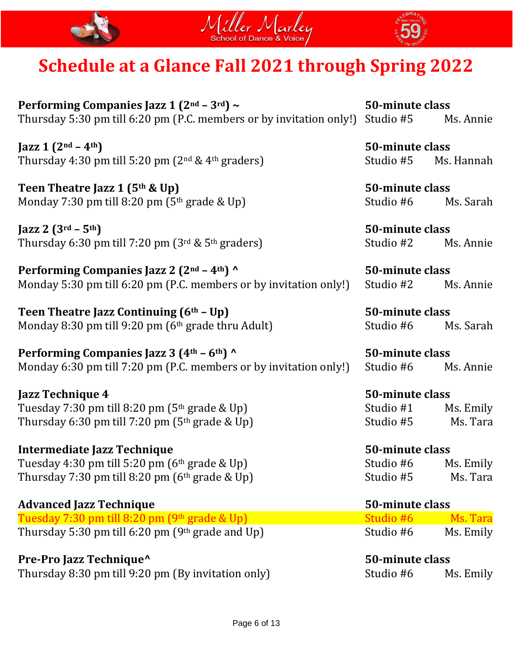





**Performing Companies Jazz 1 (2nd – 3rd) ~ 50-minute class** Thursday 5:30 pm till 6:20 pm (P.C. members or by invitation only!) Studio #5 Ms. Annie

 $\left[ \frac{\text{azz}}{1} \left( 2^{nd} - 4^{th} \right) \right]$  50-minute class Thursday 4:30 pm till 5:20 pm  $(2^{nd} \& 4^{th}$  graders) Studio #5 Ms. Hannah

**Teen Theatre Jazz 1 (5th & Up) 50-minute class** Monday 7:30 pm till 8:20 pm  $(5<sup>th</sup> grade \& Up)$  Studio #6 Ms. Sarah

 $\int \text{J}azz \, 2 \, (3^{rd} - 5^{th})$  50-minute class Thursday 6:30 pm till 7:20 pm  $(3^{rd} \& 5^{th}$  graders) Studio #2 Ms. Annie

**Performing Companies Jazz 2 (2nd – 4th) ^ 50-minute class** Monday 5:30 pm till 6:20 pm (P.C. members or by invitation only!) Studio #2 Ms. Annie

**Teen Theatre Jazz Continuing (6th – Up) 50-minute class** Monday 8:30 pm till 9:20 pm (6<sup>th</sup> grade thru Adult) Studio #6 Ms. Sarah

**Performing Companies Jazz 3 (4th – 6th) ^ 50-minute class** Monday 6:30 pm till 7:20 pm (P.C. members or by invitation only!) Studio #6 Ms. Annie

**Jazz Technique 4 50-minute class** Tuesday  $7:30$  pm till  $8:20$  pm  $(5<sup>th</sup>$  grade & Up) Studio #1 Ms. Emily Thursday 6:30 pm till 7:20 pm  $(5<sup>th</sup> grade \& Up)$  Studio #5 Ms. Tara

**Intermediate Jazz Technique 50-minute class** Tuesday 4:30 pm till 5:20 pm (6<sup>th</sup> grade & Up) Studio #6 Ms. Emily Thursday 7:30 pm till 8:20 pm  $(6<sup>th</sup> grade \& Up)$  Studio #5 Ms. Tara

### **Advanced Jazz Technique 50-minute class** Tuesday 7:30 pm till  $8:20$  pm  $(9<sup>th</sup>$  grade  $\&$  Up) Thursday 5:30 pm till 6:20 pm  $(9<sup>th</sup>$  grade and Up)

**Pre-Pro Jazz Technique^ 50-minute class** Thursday 8:30 pm till 9:20 pm (By invitation only) Studio #6 Ms. Emily

| Studio #6 | Ms. Tara  |
|-----------|-----------|
| Studio #6 | Ms. Emily |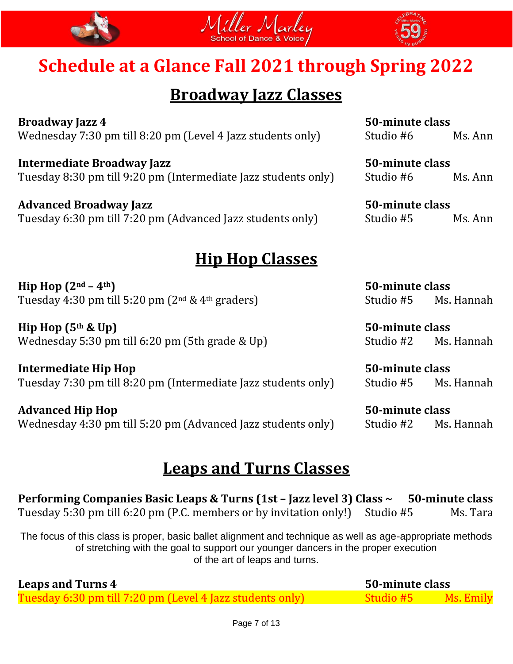



## **Broadway Jazz Classes**

**Broadway Jazz 4 50-minute class** Wednesday 7:30 pm till 8:20 pm (Level 4 Jazz students only) Studio #6 Ms. Ann

**Intermediate Broadway Jazz 50-minute class** Tuesday 8:30 pm till 9:20 pm (Intermediate Jazz students only) Studio #6 Ms. Ann

**Advanced Broadway Jazz 50-minute class** Tuesday 6:30 pm till 7:20 pm (Advanced Jazz students only) Studio #5 Ms. Ann

## **Hip Hop Classes**

**Hip Hop (2nd – 4th) 50-minute class** Tuesday 4:30 pm till 5:20 pm (2<sup>nd</sup> & 4<sup>th</sup> graders) Studio #5 Ms. Hannah

**Hip Hop (5th & Up) 50-minute class** Wednesday 5:30 pm till 6:20 pm (5th grade & Up) Studio #2 Ms. Hannah

**Intermediate Hip Hop 50-minute class** Tuesday 7:30 pm till 8:20 pm (Intermediate Jazz students only) Studio #5 Ms. Hannah

**Advanced Hip Hop 50-minute class** Wednesday 4:30 pm till 5:20 pm (Advanced Jazz students only) Studio #2 Ms. Hannah

## **Leaps and Turns Classes**

**Performing Companies Basic Leaps & Turns (1st – Jazz level 3) Class ~ 50-minute class** Tuesday 5:30 pm till 6:20 pm (P.C. members or by invitation only!) Studio #5 Ms. Tara

The focus of this class is proper, basic ballet alignment and technique as well as age-appropriate methods of stretching with the goal to support our younger dancers in the proper execution of the art of leaps and turns.

| <b>Leaps and Turns 4</b>                             | 50-minute class |  |
|------------------------------------------------------|-----------------|--|
| Tuesday 6:30 pm till 7:20 pm (Level 4 Jazz students/ |                 |  |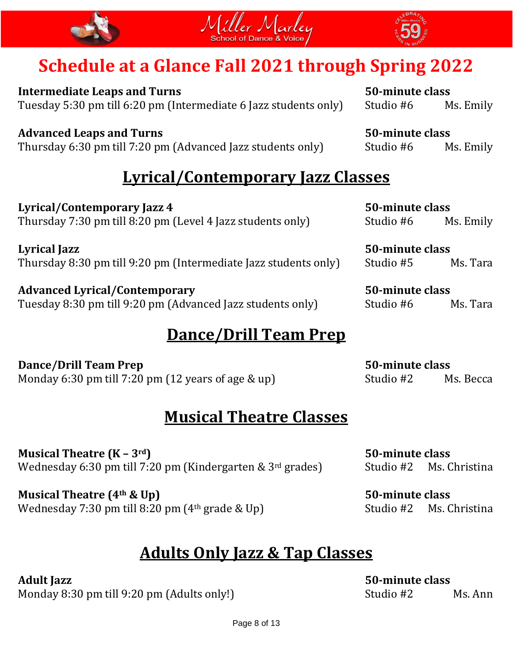





**Intermediate Leaps and Turns 50-minute class** Tuesday 5:30 pm till 6:20 pm (Intermediate 6 Jazz students only) Studio #6 Ms. Emily

**Advanced Leaps and Turns 50-minute class** Thursday 6:30 pm till 7:20 pm (Advanced Jazz students only) Studio #6 Ms. Emily

## **Lyrical/Contemporary Jazz Classes**

**Lyrical/Contemporary Jazz 4 50-minute class** Thursday 7:30 pm till 8:20 pm (Level 4 Jazz students only) Studio #6 Ms. Emily

**Lyrical Jazz 50-minute class** Thursday 8:30 pm till 9:20 pm (Intermediate Jazz students only) Studio #5 Ms. Tara

**Advanced Lyrical/Contemporary 50-minute class** Tuesday 8:30 pm till 9:20 pm (Advanced Jazz students only) Studio #6 Ms. Tara

## **Dance/Drill Team Prep**

**Dance/Drill Team Prep 50-minute class** Monday 6:30 pm till 7:20 pm (12 years of age  $\&$  up) Studio #2 Ms. Becca

## **Musical Theatre Classes**

**Musical Theatre (K – 3rd) 50-minute class** Wednesday 6:30 pm till 7:20 pm (Kindergarten &  $3<sup>rd</sup>$  grades) Studio #2 Ms. Christina

**Musical Theatre (4th & Up) 50-minute class** Wednesday 7:30 pm till 8:20 pm (4<sup>th</sup> grade & Up) Studio #2 Ms. Christina

## **Adults Only Jazz & Tap Classes**

Monday 8:30 pm till 9:20 pm (Adults only!) Studio #2 Ms. Ann

**Adult Jazz 50-minute class**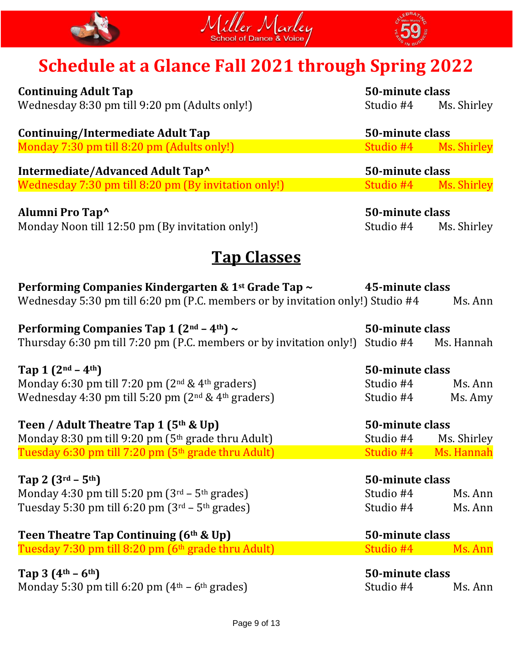





**Continuing Adult Tap 50-minute class** Wednesday 8:30 pm till 9:20 pm (Adults only!) Studio #4 Ms. Shirley

| Continuing/Intermediate Adult Tap          | 50-minute class       |  |
|--------------------------------------------|-----------------------|--|
| Monday 7:30 pm till 8:20 pm (Adults only!) | Studio #4 Ms. Shirley |  |

**Intermediate/Advanced Adult Tap^ 50-minute class** Wednesday 7:30 pm till 8:20 pm (By invitation only!) Studio #4 Ms. Shirley

**Alumni Pro Tap^ 50-minute class** Monday Noon till 12:50 pm (By invitation only!) Studio #4 Ms. Shirley

## **Tap Classes**

| Performing Companies Kindergarten & 1 <sup>st</sup> Grade Tap ~                          | 45-minute class |                      |
|------------------------------------------------------------------------------------------|-----------------|----------------------|
| Wednesday 5:30 pm till 6:20 pm (P.C. members or by invitation only!) Studio #4           |                 | Ms. Ann              |
| Performing Companies Tap 1 $(2nd – 4th)$ ~                                               | 50-minute class |                      |
| Thursday 6:30 pm till 7:20 pm (P.C. members or by invitation only!) Studio #4 Ms. Hannah |                 |                      |
| Tap 1 $(2^{nd} - 4^{th})$                                                                | 50-minute class |                      |
| Monday 6:30 pm till 7:20 pm $(2nd & 4th$ graders)                                        |                 | Studio #4 Ms. Ann    |
| Wednesday 4:30 pm till 5:20 pm $(2nd & 4th$ graders)                                     | Studio #4       | Ms. Amy              |
| Teen / Adult Theatre Tap 1 (5 <sup>th</sup> & Up)                                        | 50-minute class |                      |
| Monday 8:30 pm till 9:20 pm (5 <sup>th</sup> grade thru Adult)                           | Studio #4       | Ms. Shirley          |
| Tuesday 6:30 pm till 7:20 pm (5 <sup>th</sup> grade thru Adult)                          |                 | Studio #4 Ms. Hannah |
| Tap 2 $(3^{rd} - 5^{th})$                                                                | 50-minute class |                      |
| Monday 4:30 pm till 5:20 pm $(3rd – 5th grades)$                                         | Studio #4       | Ms. Ann              |
| Tuesday 5:30 pm till 6:20 pm $(3rd – 5th$ grades)                                        | Studio #4       | Ms. Ann              |
| Teen Theatre Tap Continuing $(6th$ & Up)                                                 | 50-minute class |                      |
| Tuesday 7:30 pm till 8:20 pm (6 <sup>th</sup> grade thru Adult)                          | Studio #4       | Ms. Ann              |
| Tap $3(4^{\text{th}} - 6^{\text{th}})$                                                   | 50-minute class |                      |
| Monday 5:30 pm till 6:20 pm $(4th - 6th$ grades)                                         | Studio #4       | Ms. Ann              |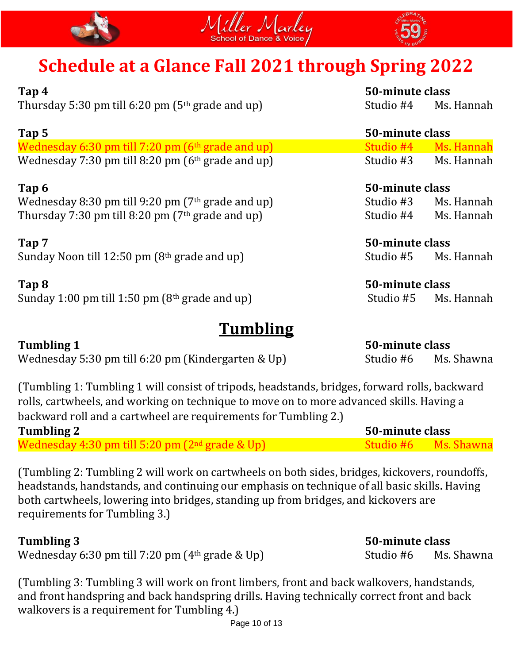





| Tap 4                                                | 50-minute class |                      |
|------------------------------------------------------|-----------------|----------------------|
| Thursday 5:30 pm till 6:20 pm ( $5th$ grade and up)  | Studio #4       | Ms. Hannah           |
| Tap 5                                                | 50-minute class |                      |
| Wednesday 6:30 pm till 7:20 pm (6th grade and up)    | Studio #4       | Ms. Hannah           |
| Wednesday 7:30 pm till 8:20 pm $(6th$ grade and up)  | Studio #3       | Ms. Hannah           |
| Tap 6                                                | 50-minute class |                      |
| Wednesday 8:30 pm till 9:20 pm ( $7th$ grade and up) | Studio #3       | Ms. Hannah           |
| Thursday 7:30 pm till 8:20 pm ( $7th$ grade and up)  | Studio #4       | Ms. Hannah           |
| Tap 7                                                | 50-minute class |                      |
| Sunday Noon till 12:50 pm $(8th$ grade and up)       | Studio #5       | Ms. Hannah           |
| Tap 8                                                | 50-minute class |                      |
| Sunday 1:00 pm till 1:50 pm ( $8th$ grade and up)    | Studio #5       | Ms. Hannah           |
| Tumbling                                             |                 |                      |
| <b>Tumbling 1</b>                                    | 50-minute class |                      |
| Wednesday 5:30 pm till 6:20 pm (Kindergarten & Up)   |                 | Studio #6 Ms. Shawna |

| (Tumbling 1: Tumbling 1 will consist of tripods, headstands, bridges, forward rolls, backward |
|-----------------------------------------------------------------------------------------------|
| rolls, cartwheels, and working on technique to move on to more advanced skills. Having a      |
| backward roll and a cartwheel are requirements for Tumbling 2.)                               |

| <b>Tumbling 2</b>                                          | 50-minute class |  |
|------------------------------------------------------------|-----------------|--|
| Wednesday 4:30 pm till 5:20 pm (2 <sup>nd</sup> grade & Up |                 |  |

(Tumbling 2: Tumbling 2 will work on cartwheels on both sides, bridges, kickovers, roundoffs, headstands, handstands, and continuing our emphasis on technique of all basic skills. Having both cartwheels, lowering into bridges, standing up from bridges, and kickovers are requirements for Tumbling 3.)

### **Tumbling 3 50-minute class**

Wednesday 6:30 pm till 7:20 pm  $(4<sup>th</sup>$  grade & Up) Studio #6 Ms. Shawna

(Tumbling 3: Tumbling 3 will work on front limbers, front and back walkovers, handstands, and front handspring and back handspring drills. Having technically correct front and back walkovers is a requirement for Tumbling 4.)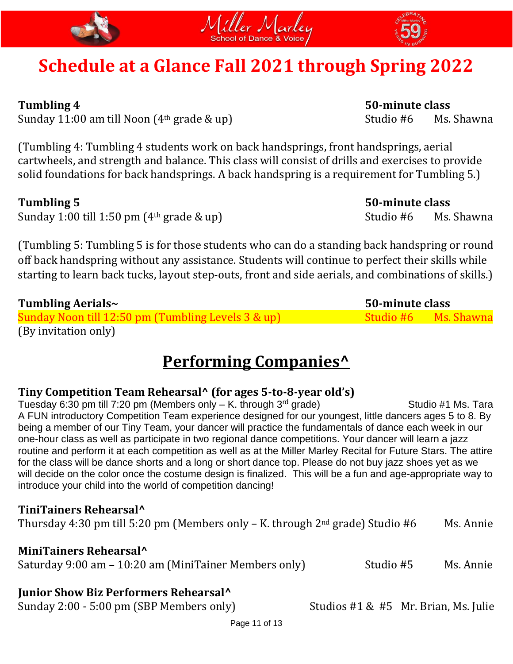



Sunday 11:00 am till Noon (4<sup>th</sup> grade & up) Studio #6 Ms. Shawna

(Tumbling 4: Tumbling 4 students work on back handsprings, front handsprings, aerial cartwheels, and strength and balance. This class will consist of drills and exercises to provide solid foundations for back handsprings. A back handspring is a requirement for Tumbling 5.)

Sunday 1:00 till 1:50 pm (4<sup>th</sup> grade & up) Studio #6 Ms. Shawna

(Tumbling 5: Tumbling 5 is for those students who can do a standing back handspring or round off back handspring without any assistance. Students will continue to perfect their skills while starting to learn back tucks, layout step-outs, front and side aerials, and combinations of skills.)

| Tumbling Aerials~                                  | 50-minute class |                      |
|----------------------------------------------------|-----------------|----------------------|
| Sunday Noon till 12:50 pm (Tumbling Levels 3 & up) |                 | Studio #6 Ms. Shawna |
| (By invitation only)                               |                 |                      |

## **Performing Companies^**

### **Tiny Competition Team Rehearsal^ (for ages 5-to-8-year old's)**

Tuesday 6:30 pm till 7:20 pm (Members only  $-$  K. through 3<sup>rd</sup> grade) Studio #1 Ms. Tara A FUN introductory Competition Team experience designed for our youngest, little dancers ages 5 to 8. By being a member of our Tiny Team, your dancer will practice the fundamentals of dance each week in our one-hour class as well as participate in two regional dance competitions. Your dancer will learn a jazz routine and perform it at each competition as well as at the Miller Marley Recital for Future Stars. The attire for the class will be dance shorts and a long or short dance top. Please do not buy jazz shoes yet as we will decide on the color once the costume design is finalized. This will be a fun and age-appropriate way to introduce your child into the world of competition dancing!

### **TiniTainers Rehearsal^**

Thursday 4:30 pm till 5:20 pm (Members only  $-$  K. through  $2<sup>nd</sup>$  grade) Studio #6 Ms. Annie

### **MiniTainers Rehearsal^**

Saturday 9:00 am - 10:20 am (MiniTainer Members only) Studio #5 Ms. Annie

### **Junior Show Biz Performers Rehearsal^**

Sunday 2:00 - 5:00 pm (SBP Members only) Studios #1 & #5 Mr. Brian, Ms. Julie

**Tumbling 4 50-minute class**

**Tumbling 5 50-minute class**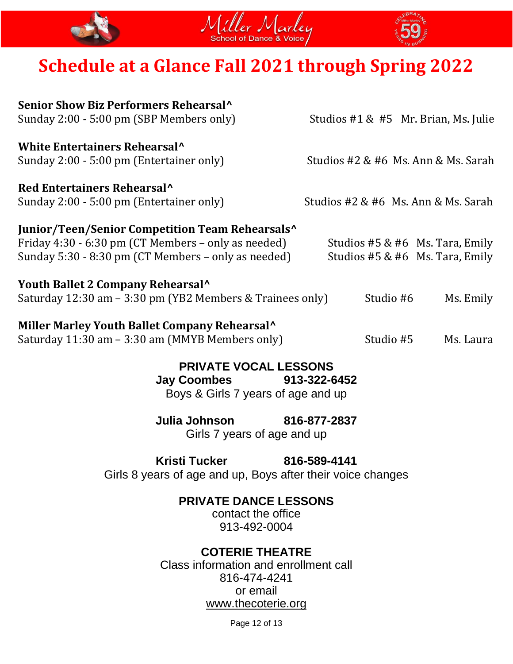





| Senior Show Biz Performers Rehearsal <sup>^</sup><br>Sunday 2:00 - 5:00 pm (SBP Members only) | Studios $#1 \& #5$ Mr. Brian, Ms. Julie |
|-----------------------------------------------------------------------------------------------|-----------------------------------------|
| White Entertainers Rehearsal <sup>^</sup>                                                     |                                         |
| Sunday 2:00 - 5:00 pm (Entertainer only)                                                      | Studios #2 & #6 Ms. Ann & Ms. Sarah     |
| Red Entertainers Rehearsal <sup>^</sup>                                                       |                                         |
| Sunday 2:00 - 5:00 pm (Entertainer only)                                                      | Studios #2 & #6 Ms. Ann & Ms. Sarah     |
| Junior/Teen/Senior Competition Team Rehearsals <sup>^</sup>                                   |                                         |
| Friday 4:30 - 6:30 pm (CT Members – only as needed)                                           | Studios #5 & #6 Ms. Tara, Emily         |
| Sunday 5:30 - 8:30 pm (CT Members – only as needed)                                           | Studios #5 & #6 Ms. Tara, Emily         |
| Youth Ballet 2 Company Rehearsal^                                                             |                                         |
| Saturday 12:30 am - 3:30 pm (YB2 Members & Trainees only)                                     | Studio #6<br>Ms. Emily                  |
| Miller Marley Youth Ballet Company Rehearsal^                                                 |                                         |
| Saturday 11:30 am - 3:30 am (MMYB Members only)                                               | Studio #5<br>Ms. Laura                  |

**PRIVATE VOCAL LESSONS Jay Coombes 913-322-6452** Boys & Girls 7 years of age and up

**Julia Johnson 816-877-2837** Girls 7 years of age and up

### **Kristi Tucker 816-589-4141** Girls 8 years of age and up, Boys after their voice changes

**PRIVATE DANCE LESSONS** 

contact the office 913-492-0004

## **COTERIE THEATRE**

Class information and enrollment call 816-474-4241 or email [www.thecoterie.org](http://www.thecoterie.org/)

Page 12 of 13